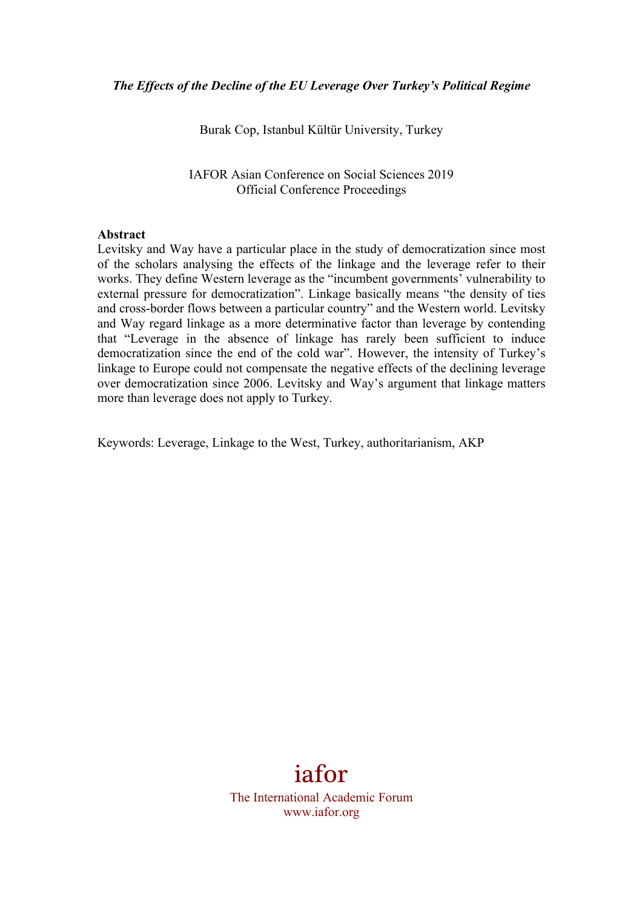Burak Cop, Istanbul Kültür University, Turkey

IAFOR Asian Conference on Social Sciences 2019 Official Conference Proceedings

#### **Abstract**

Levitsky and Way have a particular place in the study of democratization since most of the scholars analysing the effects of the linkage and the leverage refer to their works. They define Western leverage as the "incumbent governments' vulnerability to external pressure for democratization". Linkage basically means "the density of ties and cross-border flows between a particular country" and the Western world. Levitsky and Way regard linkage as a more determinative factor than leverage by contending that "Leverage in the absence of linkage has rarely been sufficient to induce democratization since the end of the cold war". However, the intensity of Turkey's linkage to Europe could not compensate the negative effects of the declining leverage over democratization since 2006. Levitsky and Way's argument that linkage matters more than leverage does not apply to Turkey.

Keywords: Leverage, Linkage to the West, Turkey, authoritarianism, AKP

# iafor

The International Academic Forum www.iafor.org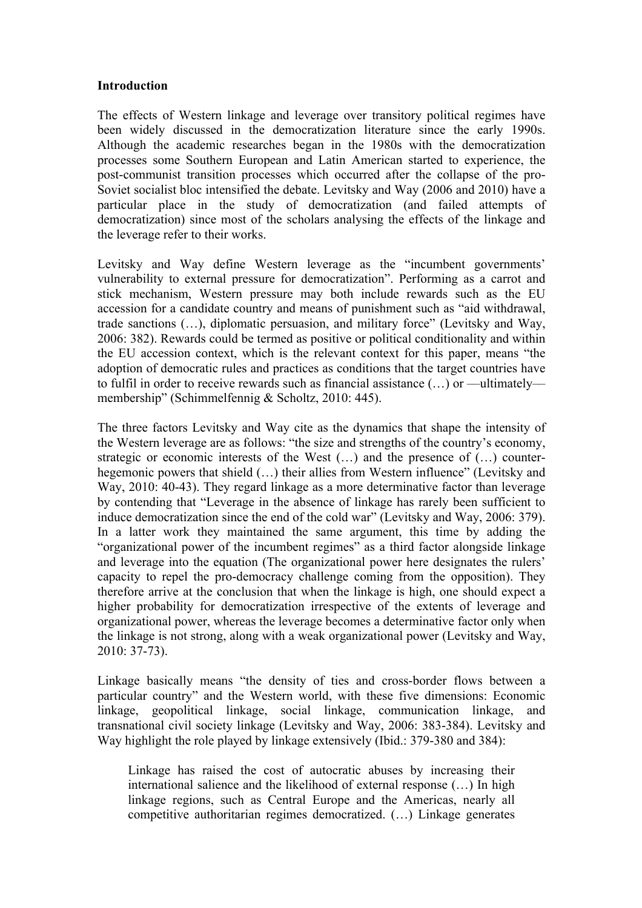#### **Introduction**

The effects of Western linkage and leverage over transitory political regimes have been widely discussed in the democratization literature since the early 1990s. Although the academic researches began in the 1980s with the democratization processes some Southern European and Latin American started to experience, the post-communist transition processes which occurred after the collapse of the pro-Soviet socialist bloc intensified the debate. Levitsky and Way (2006 and 2010) have a particular place in the study of democratization (and failed attempts of democratization) since most of the scholars analysing the effects of the linkage and the leverage refer to their works.

Levitsky and Way define Western leverage as the "incumbent governments' vulnerability to external pressure for democratization". Performing as a carrot and stick mechanism, Western pressure may both include rewards such as the EU accession for a candidate country and means of punishment such as "aid withdrawal, trade sanctions (…), diplomatic persuasion, and military force" (Levitsky and Way, 2006: 382). Rewards could be termed as positive or political conditionality and within the EU accession context, which is the relevant context for this paper, means "the adoption of democratic rules and practices as conditions that the target countries have to fulfil in order to receive rewards such as financial assistance  $(...)$  or —ultimately membership" (Schimmelfennig & Scholtz, 2010: 445).

The three factors Levitsky and Way cite as the dynamics that shape the intensity of the Western leverage are as follows: "the size and strengths of the country's economy, strategic or economic interests of the West (…) and the presence of (…) counterhegemonic powers that shield (…) their allies from Western influence" (Levitsky and Way, 2010: 40-43). They regard linkage as a more determinative factor than leverage by contending that "Leverage in the absence of linkage has rarely been sufficient to induce democratization since the end of the cold war" (Levitsky and Way, 2006: 379). In a latter work they maintained the same argument, this time by adding the "organizational power of the incumbent regimes" as a third factor alongside linkage and leverage into the equation (The organizational power here designates the rulers' capacity to repel the pro-democracy challenge coming from the opposition). They therefore arrive at the conclusion that when the linkage is high, one should expect a higher probability for democratization irrespective of the extents of leverage and organizational power, whereas the leverage becomes a determinative factor only when the linkage is not strong, along with a weak organizational power (Levitsky and Way, 2010: 37-73).

Linkage basically means "the density of ties and cross-border flows between a particular country" and the Western world, with these five dimensions: Economic linkage, geopolitical linkage, social linkage, communication linkage, and transnational civil society linkage (Levitsky and Way, 2006: 383-384). Levitsky and Way highlight the role played by linkage extensively (Ibid.: 379-380 and 384):

Linkage has raised the cost of autocratic abuses by increasing their international salience and the likelihood of external response (…) In high linkage regions, such as Central Europe and the Americas, nearly all competitive authoritarian regimes democratized. (…) Linkage generates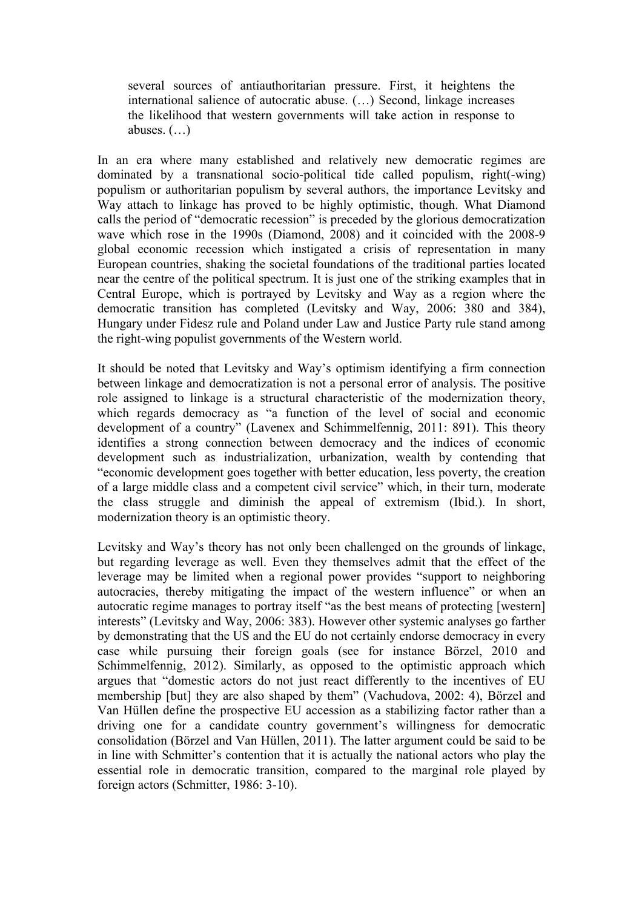several sources of antiauthoritarian pressure. First, it heightens the international salience of autocratic abuse. (…) Second, linkage increases the likelihood that western governments will take action in response to abuses. (…)

In an era where many established and relatively new democratic regimes are dominated by a transnational socio-political tide called populism, right(-wing) populism or authoritarian populism by several authors, the importance Levitsky and Way attach to linkage has proved to be highly optimistic, though. What Diamond calls the period of "democratic recession" is preceded by the glorious democratization wave which rose in the 1990s (Diamond, 2008) and it coincided with the 2008-9 global economic recession which instigated a crisis of representation in many European countries, shaking the societal foundations of the traditional parties located near the centre of the political spectrum. It is just one of the striking examples that in Central Europe, which is portrayed by Levitsky and Way as a region where the democratic transition has completed (Levitsky and Way, 2006: 380 and 384), Hungary under Fidesz rule and Poland under Law and Justice Party rule stand among the right-wing populist governments of the Western world.

It should be noted that Levitsky and Way's optimism identifying a firm connection between linkage and democratization is not a personal error of analysis. The positive role assigned to linkage is a structural characteristic of the modernization theory, which regards democracy as "a function of the level of social and economic development of a country" (Lavenex and Schimmelfennig, 2011: 891). This theory identifies a strong connection between democracy and the indices of economic development such as industrialization, urbanization, wealth by contending that "economic development goes together with better education, less poverty, the creation of a large middle class and a competent civil service" which, in their turn, moderate the class struggle and diminish the appeal of extremism (Ibid.). In short, modernization theory is an optimistic theory.

Levitsky and Way's theory has not only been challenged on the grounds of linkage, but regarding leverage as well. Even they themselves admit that the effect of the leverage may be limited when a regional power provides "support to neighboring autocracies, thereby mitigating the impact of the western influence" or when an autocratic regime manages to portray itself "as the best means of protecting [western] interests" (Levitsky and Way, 2006: 383). However other systemic analyses go farther by demonstrating that the US and the EU do not certainly endorse democracy in every case while pursuing their foreign goals (see for instance Börzel, 2010 and Schimmelfennig, 2012). Similarly, as opposed to the optimistic approach which argues that "domestic actors do not just react differently to the incentives of EU membership [but] they are also shaped by them" (Vachudova, 2002: 4), Börzel and Van Hüllen define the prospective EU accession as a stabilizing factor rather than a driving one for a candidate country government's willingness for democratic consolidation (Börzel and Van Hüllen, 2011). The latter argument could be said to be in line with Schmitter's contention that it is actually the national actors who play the essential role in democratic transition, compared to the marginal role played by foreign actors (Schmitter, 1986: 3-10).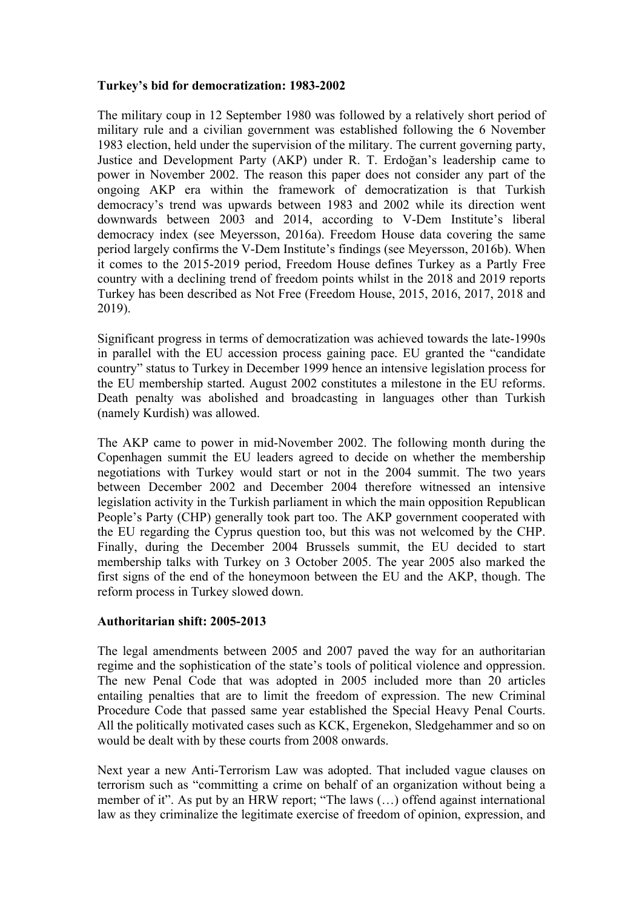## **Turkey's bid for democratization: 1983-2002**

The military coup in 12 September 1980 was followed by a relatively short period of military rule and a civilian government was established following the 6 November 1983 election, held under the supervision of the military. The current governing party, Justice and Development Party (AKP) under R. T. Erdoğan's leadership came to power in November 2002. The reason this paper does not consider any part of the ongoing AKP era within the framework of democratization is that Turkish democracy's trend was upwards between 1983 and 2002 while its direction went downwards between 2003 and 2014, according to V-Dem Institute's liberal democracy index (see Meyersson, 2016a). Freedom House data covering the same period largely confirms the V-Dem Institute's findings (see Meyersson, 2016b). When it comes to the 2015-2019 period, Freedom House defines Turkey as a Partly Free country with a declining trend of freedom points whilst in the 2018 and 2019 reports Turkey has been described as Not Free (Freedom House, 2015, 2016, 2017, 2018 and 2019).

Significant progress in terms of democratization was achieved towards the late-1990s in parallel with the EU accession process gaining pace. EU granted the "candidate country" status to Turkey in December 1999 hence an intensive legislation process for the EU membership started. August 2002 constitutes a milestone in the EU reforms. Death penalty was abolished and broadcasting in languages other than Turkish (namely Kurdish) was allowed.

The AKP came to power in mid-November 2002. The following month during the Copenhagen summit the EU leaders agreed to decide on whether the membership negotiations with Turkey would start or not in the 2004 summit. The two years between December 2002 and December 2004 therefore witnessed an intensive legislation activity in the Turkish parliament in which the main opposition Republican People's Party (CHP) generally took part too. The AKP government cooperated with the EU regarding the Cyprus question too, but this was not welcomed by the CHP. Finally, during the December 2004 Brussels summit, the EU decided to start membership talks with Turkey on 3 October 2005. The year 2005 also marked the first signs of the end of the honeymoon between the EU and the AKP, though. The reform process in Turkey slowed down.

### **Authoritarian shift: 2005-2013**

The legal amendments between 2005 and 2007 paved the way for an authoritarian regime and the sophistication of the state's tools of political violence and oppression. The new Penal Code that was adopted in 2005 included more than 20 articles entailing penalties that are to limit the freedom of expression. The new Criminal Procedure Code that passed same year established the Special Heavy Penal Courts. All the politically motivated cases such as KCK, Ergenekon, Sledgehammer and so on would be dealt with by these courts from 2008 onwards.

Next year a new Anti-Terrorism Law was adopted. That included vague clauses on terrorism such as "committing a crime on behalf of an organization without being a member of it". As put by an HRW report; "The laws (…) offend against international law as they criminalize the legitimate exercise of freedom of opinion, expression, and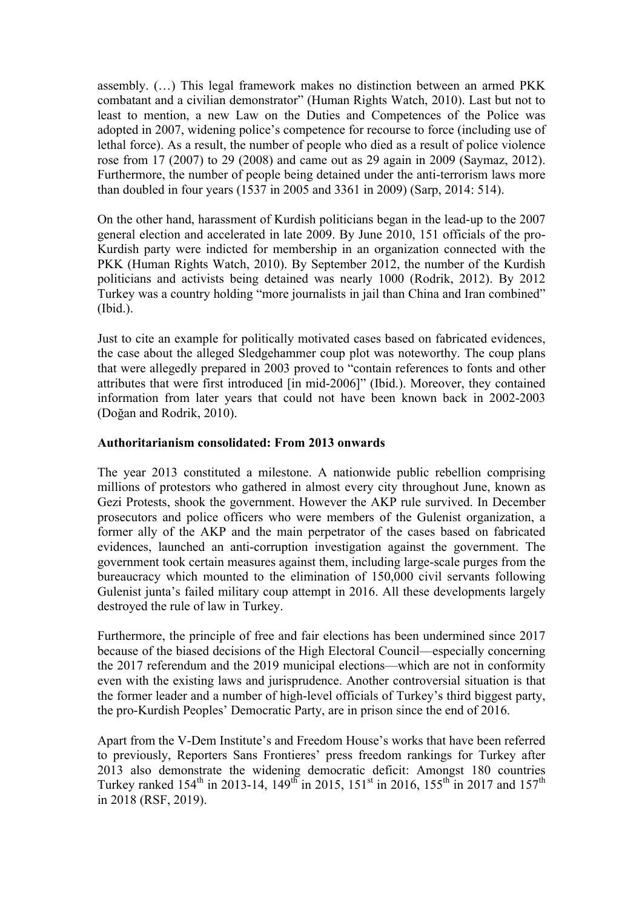assembly. (…) This legal framework makes no distinction between an armed PKK combatant and a civilian demonstrator" (Human Rights Watch, 2010). Last but not to least to mention, a new Law on the Duties and Competences of the Police was adopted in 2007, widening police's competence for recourse to force (including use of lethal force). As a result, the number of people who died as a result of police violence rose from 17 (2007) to 29 (2008) and came out as 29 again in 2009 (Saymaz, 2012). Furthermore, the number of people being detained under the anti-terrorism laws more than doubled in four years (1537 in 2005 and 3361 in 2009) (Sarp, 2014: 514).

On the other hand, harassment of Kurdish politicians began in the lead-up to the 2007 general election and accelerated in late 2009. By June 2010, 151 officials of the pro-Kurdish party were indicted for membership in an organization connected with the PKK (Human Rights Watch, 2010). By September 2012, the number of the Kurdish politicians and activists being detained was nearly 1000 (Rodrik, 2012). By 2012 Turkey was a country holding "more journalists in jail than China and Iran combined" (Ibid.).

Just to cite an example for politically motivated cases based on fabricated evidences, the case about the alleged Sledgehammer coup plot was noteworthy. The coup plans that were allegedly prepared in 2003 proved to "contain references to fonts and other attributes that were first introduced [in mid-2006]" (Ibid.). Moreover, they contained information from later years that could not have been known back in 2002-2003 (Doğan and Rodrik, 2010).

## **Authoritarianism consolidated: From 2013 onwards**

The year 2013 constituted a milestone. A nationwide public rebellion comprising millions of protestors who gathered in almost every city throughout June, known as Gezi Protests, shook the government. However the AKP rule survived. In December prosecutors and police officers who were members of the Gulenist organization, a former ally of the AKP and the main perpetrator of the cases based on fabricated evidences, launched an anti-corruption investigation against the government. The government took certain measures against them, including large-scale purges from the bureaucracy which mounted to the elimination of 150,000 civil servants following Gulenist junta's failed military coup attempt in 2016. All these developments largely destroyed the rule of law in Turkey.

Furthermore, the principle of free and fair elections has been undermined since 2017 because of the biased decisions of the High Electoral Council––especially concerning the 2017 referendum and the 2019 municipal elections––which are not in conformity even with the existing laws and jurisprudence. Another controversial situation is that the former leader and a number of high-level officials of Turkey's third biggest party, the pro-Kurdish Peoples' Democratic Party, are in prison since the end of 2016.

Apart from the V-Dem Institute's and Freedom House's works that have been referred to previously, Reporters Sans Frontieres' press freedom rankings for Turkey after 2013 also demonstrate the widening democratic deficit: Amongst 180 countries Turkey ranked  $154^{\text{th}}$  in 2013-14, 149<sup>th</sup> in 2015, 151<sup>st</sup> in 2016, 155<sup>th</sup> in 2017 and 157<sup>th</sup> in 2018 (RSF, 2019).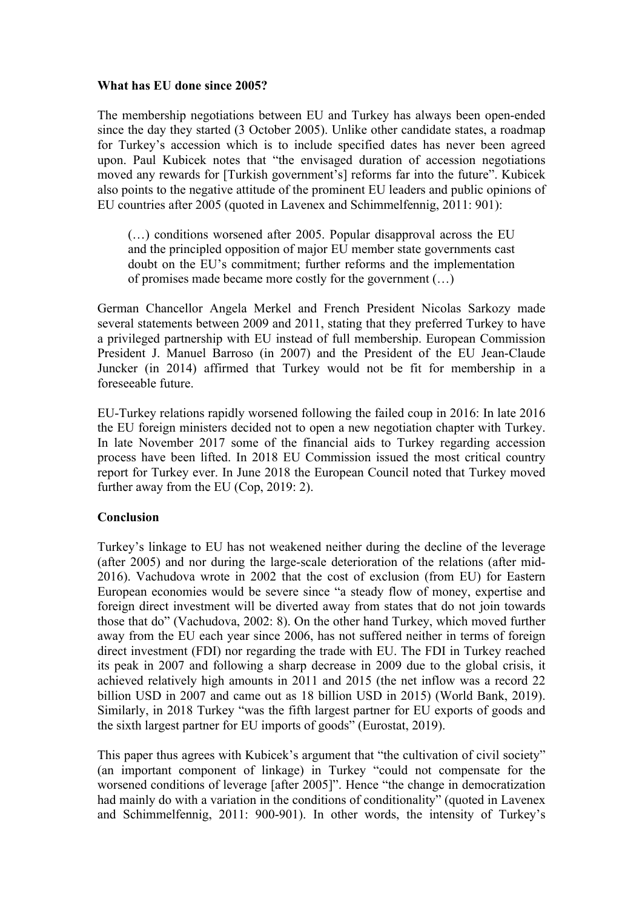## **What has EU done since 2005?**

The membership negotiations between EU and Turkey has always been open-ended since the day they started (3 October 2005). Unlike other candidate states, a roadmap for Turkey's accession which is to include specified dates has never been agreed upon. Paul Kubicek notes that "the envisaged duration of accession negotiations moved any rewards for [Turkish government's] reforms far into the future". Kubicek also points to the negative attitude of the prominent EU leaders and public opinions of EU countries after 2005 (quoted in Lavenex and Schimmelfennig, 2011: 901):

(…) conditions worsened after 2005. Popular disapproval across the EU and the principled opposition of major EU member state governments cast doubt on the EU's commitment; further reforms and the implementation of promises made became more costly for the government (…)

German Chancellor Angela Merkel and French President Nicolas Sarkozy made several statements between 2009 and 2011, stating that they preferred Turkey to have a privileged partnership with EU instead of full membership. European Commission President J. Manuel Barroso (in 2007) and the President of the EU Jean-Claude Juncker (in 2014) affirmed that Turkey would not be fit for membership in a foreseeable future.

EU-Turkey relations rapidly worsened following the failed coup in 2016: In late 2016 the EU foreign ministers decided not to open a new negotiation chapter with Turkey. In late November 2017 some of the financial aids to Turkey regarding accession process have been lifted. In 2018 EU Commission issued the most critical country report for Turkey ever. In June 2018 the European Council noted that Turkey moved further away from the EU (Cop, 2019: 2).

## **Conclusion**

Turkey's linkage to EU has not weakened neither during the decline of the leverage (after 2005) and nor during the large-scale deterioration of the relations (after mid-2016). Vachudova wrote in 2002 that the cost of exclusion (from EU) for Eastern European economies would be severe since "a steady flow of money, expertise and foreign direct investment will be diverted away from states that do not join towards those that do" (Vachudova, 2002: 8). On the other hand Turkey, which moved further away from the EU each year since 2006, has not suffered neither in terms of foreign direct investment (FDI) nor regarding the trade with EU. The FDI in Turkey reached its peak in 2007 and following a sharp decrease in 2009 due to the global crisis, it achieved relatively high amounts in 2011 and 2015 (the net inflow was a record 22 billion USD in 2007 and came out as 18 billion USD in 2015) (World Bank, 2019). Similarly, in 2018 Turkey "was the fifth largest partner for EU exports of goods and the sixth largest partner for EU imports of goods" (Eurostat, 2019).

This paper thus agrees with Kubicek's argument that "the cultivation of civil society" (an important component of linkage) in Turkey "could not compensate for the worsened conditions of leverage [after 2005]". Hence "the change in democratization had mainly do with a variation in the conditions of conditionality" (quoted in Lavenex and Schimmelfennig, 2011: 900-901). In other words, the intensity of Turkey's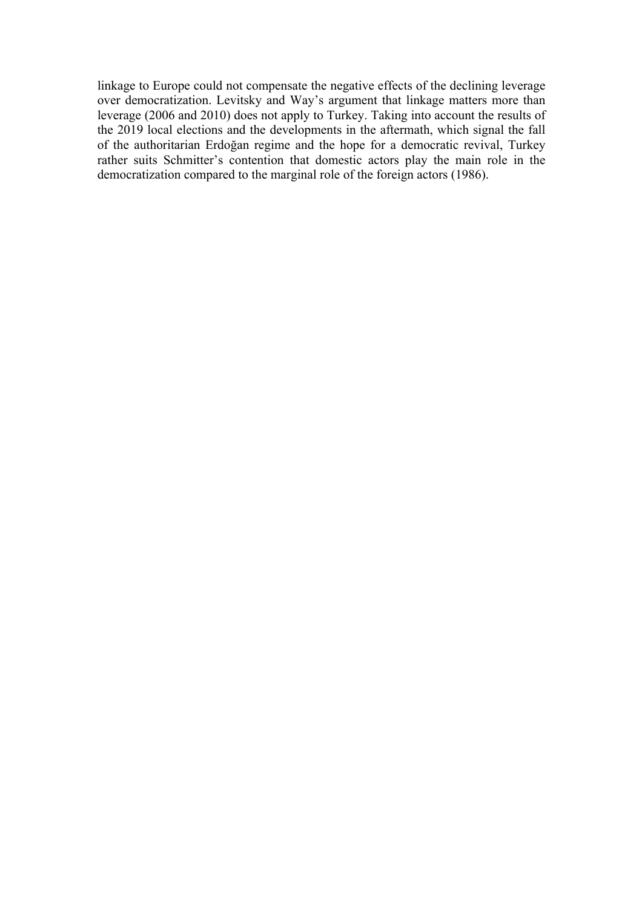linkage to Europe could not compensate the negative effects of the declining leverage over democratization. Levitsky and Way's argument that linkage matters more than leverage (2006 and 2010) does not apply to Turkey. Taking into account the results of the 2019 local elections and the developments in the aftermath, which signal the fall of the authoritarian Erdoğan regime and the hope for a democratic revival, Turkey rather suits Schmitter's contention that domestic actors play the main role in the democratization compared to the marginal role of the foreign actors (1986).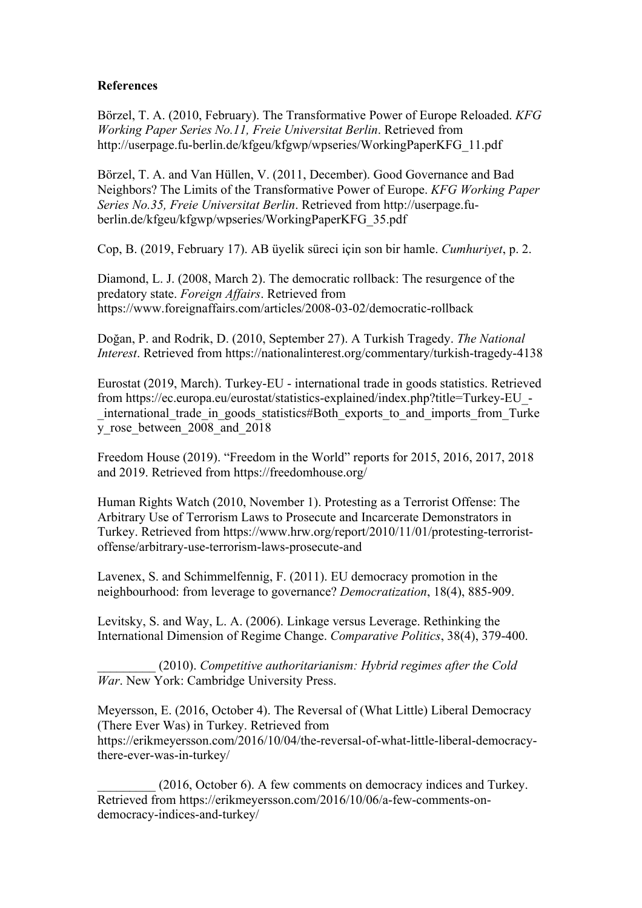## **References**

Börzel, T. A. (2010, February). The Transformative Power of Europe Reloaded. *KFG Working Paper Series No.11, Freie Universitat Berlin*. Retrieved from http://userpage.fu-berlin.de/kfgeu/kfgwp/wpseries/WorkingPaperKFG\_11.pdf

Börzel, T. A. and Van Hüllen, V. (2011, December). Good Governance and Bad Neighbors? The Limits of the Transformative Power of Europe. *KFG Working Paper Series No.35, Freie Universitat Berlin*. Retrieved from http://userpage.fuberlin.de/kfgeu/kfgwp/wpseries/WorkingPaperKFG\_35.pdf

Cop, B. (2019, February 17). AB üyelik süreci için son bir hamle. *Cumhuriyet*, p. 2.

Diamond, L. J. (2008, March 2). The democratic rollback: The resurgence of the predatory state. *Foreign Affairs*. Retrieved from https://www.foreignaffairs.com/articles/2008-03-02/democratic-rollback

Doğan, P. and Rodrik, D. (2010, September 27). A Turkish Tragedy. *The National Interest*. Retrieved from https://nationalinterest.org/commentary/turkish-tragedy-4138

Eurostat (2019, March). Turkey-EU - international trade in goods statistics. Retrieved from https://ec.europa.eu/eurostat/statistics-explained/index.php?title=Turkey-EU\_- \_international\_trade\_in\_goods\_statistics#Both\_exports\_to\_and\_imports\_from\_Turke y\_rose\_between\_2008\_and\_2018

Freedom House (2019). "Freedom in the World" reports for 2015, 2016, 2017, 2018 and 2019. Retrieved from https://freedomhouse.org/

Human Rights Watch (2010, November 1). Protesting as a Terrorist Offense: The Arbitrary Use of Terrorism Laws to Prosecute and Incarcerate Demonstrators in Turkey. Retrieved from https://www.hrw.org/report/2010/11/01/protesting-terroristoffense/arbitrary-use-terrorism-laws-prosecute-and

Lavenex, S. and Schimmelfennig, F. (2011). EU democracy promotion in the neighbourhood: from leverage to governance? *Democratization*, 18(4), 885-909.

Levitsky, S. and Way, L. A. (2006). Linkage versus Leverage. Rethinking the International Dimension of Regime Change. *Comparative Politics*, 38(4), 379-400.

\_\_\_\_\_\_\_\_\_ (2010). *Competitive authoritarianism: Hybrid regimes after the Cold War*. New York: Cambridge University Press.

Meyersson, E. (2016, October 4). The Reversal of (What Little) Liberal Democracy (There Ever Was) in Turkey. Retrieved from https://erikmeyersson.com/2016/10/04/the-reversal-of-what-little-liberal-democracythere-ever-was-in-turkey/

(2016, October 6). A few comments on democracy indices and Turkey. Retrieved from https://erikmeyersson.com/2016/10/06/a-few-comments-ondemocracy-indices-and-turkey/